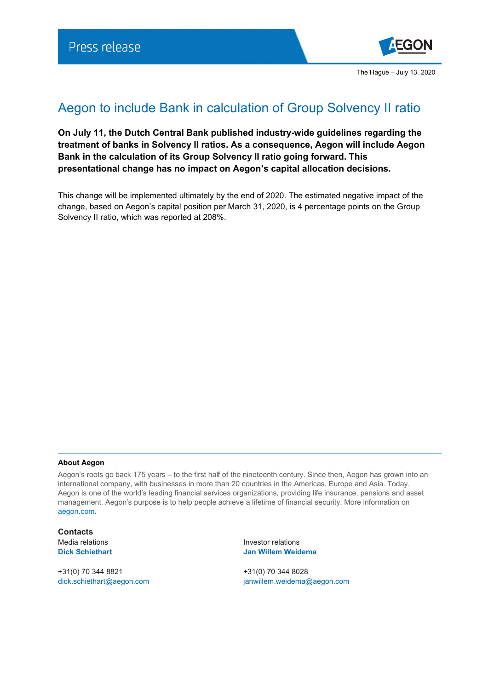

## Aegon to include Bank in calculation of Group Solvency II ratio

**On July 11, the Dutch Central Bank published industry-wide guidelines regarding the treatment of banks in Solvency II ratios. As a consequence, Aegon will include Aegon Bank in the calculation of its Group Solvency II ratio going forward. This presentational change has no impact on Aegon's capital allocation decisions.**

This change will be implemented ultimately by the end of 2020. The estimated negative impact of the change, based on Aegon's capital position per March 31, 2020, is 4 percentage points on the Group Solvency II ratio, which was reported at 208%.

## **About Aegon**

Aegon's roots go back 175 years – to the first half of the nineteenth century. Since then, Aegon has grown into an international company, with businesses in more than 20 countries in the Americas, Europe and Asia. Today, Aegon is one of the world's leading financial services organizations, providing life insurance, pensions and asset management. Aegon's purpose is to help people achieve a lifetime of financial security. More information on [aegon.com.](http://www.aegon.com/about)

**Contacts**

+31(0) 70 344 8821 +31(0) 70 344 8028

Media relations and a set of the local media relations of the local media of the local media of the local media **Dick Schiethart Jan Willem Weidema**

[dick.schiethart@aegon.com](mailto:dick.schiethart@aegon.com) [janwillem.weidema@aegon.com](mailto:janwillem.weidema@aegon.com)